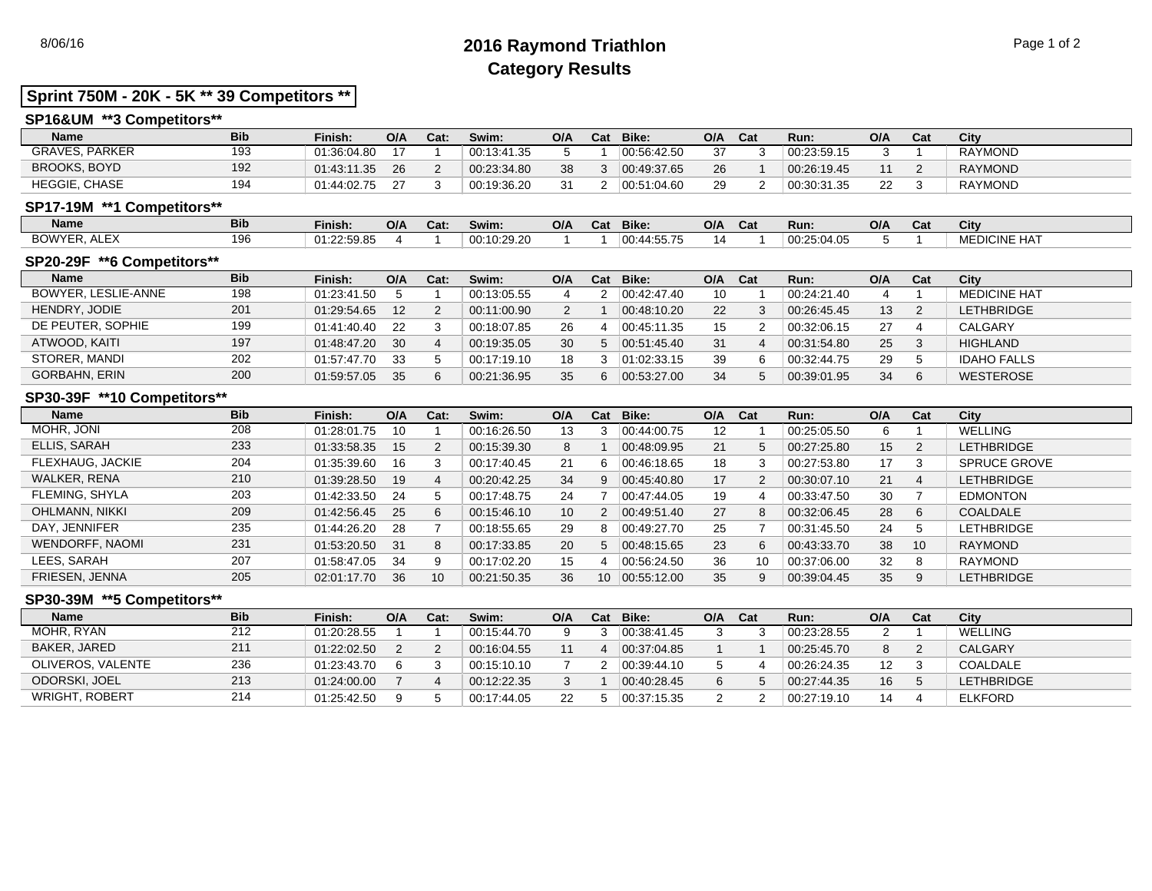# 8/06/16 **2016 Raymond Triathlon** Page 1 of 2 **Category Results**

# **Sprint 750M - 20K - 5K \*\* 39 Competitors \*\***

## **SP16&UM \*\*3 Competitors\*\***

| <b>Name</b>          | <b>Bib</b> | Finish:     | O/A | Cat: | Swim:       | O/A | Cat | Bike:       | O/A | Cat | Run:        | O/A | Cat | City           |
|----------------------|------------|-------------|-----|------|-------------|-----|-----|-------------|-----|-----|-------------|-----|-----|----------------|
| GRAVES.<br>. PARKER  | 103        | 01:36:04.80 |     |      | 00:13:41.35 |     |     | 00:56:42.50 |     |     | 00:23:59.15 |     |     | <b>RAYMOND</b> |
| <b>BROOKS, BOYD</b>  | 192<br>ے ، | 01:43:11.35 | 26  |      | 00:23:34.80 | 38  |     | 00.49.37.65 | 26  |     | 00:26:19.45 |     |     | <b>RAYMOND</b> |
| <b>HEGGIE, CHASE</b> | 10∠        | 01:44:02.75 |     |      | 00:19:36.20 | 31  |     | 00:51:04.60 | 29  |     | 00:30:31.35 | 22  |     | <b>RAYMOND</b> |

### **SP17-19M \*\*1 Competitors\*\***

| <b>Name</b>            | <b>Bib</b> | Finish:     | O/A | Cat: | Swim:       | O/A | ~-<br>val | Bike:       | O/A   | Cat | Run.        | O/A | Cat | City                |
|------------------------|------------|-------------|-----|------|-------------|-----|-----------|-------------|-------|-----|-------------|-----|-----|---------------------|
| BOWYER.<br><b>ALEX</b> | 196        | 01:22:59.85 |     |      | 00:10:29.20 |     |           | 00:44:55.75 | 1 Z.L |     | 00.25.04.05 |     |     | <b>MEDICINE HAT</b> |

#### **SP20-29F \*\*6 Competitors\*\***

| <b>Name</b>          | <b>Bib</b> | Finish:     | O/A | Cat: | Swim:       | O/A | Cat | Bike:       | O/A | Cat | Run:        | O/A | Cat | City                |
|----------------------|------------|-------------|-----|------|-------------|-----|-----|-------------|-----|-----|-------------|-----|-----|---------------------|
| BOWYER, LESLIE-ANNE  | 198        | 01:23:41.50 |     |      | 00:13:05.55 |     |     | 00:42:47.40 | 10  |     | 00:24:21.40 | 4   |     | <b>MEDICINE HAT</b> |
| HENDRY, JODIE        | 201        | 01:29:54.65 | 12  | ົ    | 00:11:00.90 |     |     | 00:48:10.20 | 22  |     | 00:26:45.45 | 13  |     | LETHBRIDGE          |
| DE PEUTER, SOPHIE    | 199        | 01:41:40.40 | 22  |      | 00:18:07.85 | 26  |     | 00:45:11.35 | 15  |     | 00:32:06.15 | 27  |     | CALGARY             |
| ATWOOD, KAITI        | 197        | 01:48:47.20 | 30  |      | 00:19:35.05 | 30  | 5   | 00.51.45.40 | 31  |     | 00:31:54.80 | 25  |     | <b>HIGHLAND</b>     |
| STORER, MANDI        | 202        | 01:57:47.70 | 33  |      | 00:17:19.10 | 18  |     | 01:02:33.15 | 39  |     | 00:32:44.75 | 29  |     | <b>IDAHO FALLS</b>  |
| <b>GORBAHN, ERIN</b> | 200        | 01:59:57.05 | 35  | c.   | 00:21:36.95 | 35  |     | 00:53:27.00 | 34  |     | 00:39:01.95 | 34  | 6   | <b>WESTEROSE</b>    |

### **SP30-39F \*\*10 Competitors\*\***

| <b>Name</b>           | <b>Bib</b> | Finish:     | O/A | Cat:            | Swim:       | O/A             | Cat             | Bike:       | O/A | Cat | Run:        | O/A | Cat | City                |
|-----------------------|------------|-------------|-----|-----------------|-------------|-----------------|-----------------|-------------|-----|-----|-------------|-----|-----|---------------------|
| MOHR, JONI            | 208        | 01:28:01.75 | 10  |                 | 00:16:26.50 | 13              | 3               | 00:44:00.75 | 12  |     | 00:25:05.50 | b   |     | WELLING             |
| ELLIS, SARAH          | 233        | 01:33:58.35 | 15  | 2               | 00:15:39.30 | 8               |                 | 00:48:09.95 | 21  |     | 00:27:25.80 | 15  | 2   | <b>LETHBRIDGE</b>   |
| FLEXHAUG, JACKIE      | 204        | 01:35:39.60 | 16  | 3               | 00:17:40.45 | 21              | 6               | 00:46:18.65 | 18  |     | 00:27:53.80 | 17  | 3   | <b>SPRUCE GROVE</b> |
| WALKER, RENA          | 210        | 01:39:28.50 | 19  | 4               | 00:20:42.25 | 34              | 9               | 00:45:40.80 | 17  |     | 00:30:07.10 | 21  | 4   | <b>LETHBRIDGE</b>   |
| FLEMING, SHYLA        | 203        | 01:42:33.50 | 24  | 5               | 00:17:48.75 | 24              |                 | 00:47:44.05 | 19  |     | 00:33:47.50 | 30  |     | <b>EDMONTON</b>     |
| OHLMANN, NIKKI        | 209        | 01:42:56.45 | 25  | 6               | 00:15:46.10 | 10 <sup>°</sup> | $\overline{2}$  | 00:49:51.40 | 27  |     | 00:32:06.45 | 28  | 6   | <b>COALDALE</b>     |
| DAY, JENNIFER         | 235        | 01:44:26.20 | 28  |                 | 00:18:55.65 | 29              | 8               | 00:49:27.70 | 25  |     | 00:31:45.50 | 24  | 5   | <b>LETHBRIDGE</b>   |
| WENDORFF, NAOMI       | 231        | 01:53:20.50 | 31  | 8               | 00:17:33.85 | 20              | 5               | 00:48:15.65 | 23  |     | 00:43:33.70 | 38  | 10  | RAYMOND             |
| LEES, SARAH           | 207        | 01:58:47.05 | 34  | 9               | 00:17:02.20 | 15              |                 | 00:56:24.50 | 36  | 10  | 00:37:06.00 | 32  | 8   | RAYMOND             |
| <b>FRIESEN, JENNA</b> | 205        | 02:01:17.70 | 36  | 10 <sup>°</sup> | 00:21:50.35 | 36              | 10 <sup>1</sup> | 00.55:12.00 | 35  |     | 00:39:04.45 | 35  | 9   | <b>LETHBRIDGE</b>   |

### **SP30-39M \*\*5 Competitors\*\***

| <b>Name</b>           | <b>Bib</b> | Finish:     | O/A | Cat: | Swim:       | O/A | Cat Bike:   | O/A | Cat | Run:        | O/A | Cat | City              |
|-----------------------|------------|-------------|-----|------|-------------|-----|-------------|-----|-----|-------------|-----|-----|-------------------|
| MOHR, RYAN            | 212        | 01:20:28.55 |     |      | 00:15:44.70 |     | 00:38:41.45 |     |     | 00:23:28.55 |     |     | WELLING           |
| BAKER, JARED          | 211        | 01:22:02.50 |     |      | 00:16:04.55 |     | 00.37.04.85 |     |     | 00:25:45.70 | 8   |     | CALGARY           |
| OLIVEROS, VALENTE     | 236        | 01:23:43.70 |     |      | 00:15:10.10 |     | 00:39:44.10 |     |     | 00:26:24.35 | 12  |     | COALDALE          |
| ODORSKI, JOEL         | 213        | 01:24:00.00 |     |      | 00:12:22.35 |     | 00.40.28.45 |     |     | 00:27:44.35 | 16  |     | <b>LETHBRIDGE</b> |
| <b>WRIGHT, ROBERT</b> | 214        | 01:25:42.50 |     |      | 00:17:44.05 | 22  | 00:37:15.35 |     |     | 00:27:19.10 | 14  |     | <b>ELKFORD</b>    |